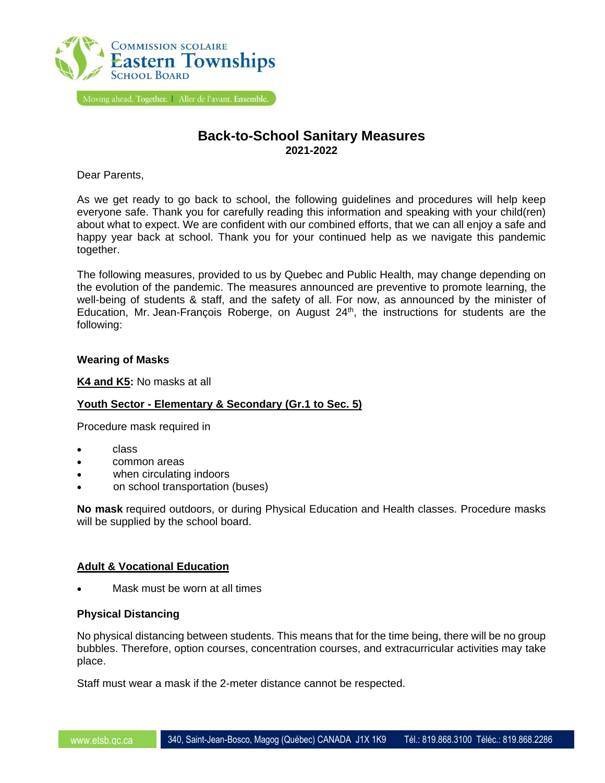

# **Back-to-School Sanitary Measures 2021-2022**

Dear Parents,

As we get ready to go back to school, the following guidelines and procedures will help keep everyone safe. Thank you for carefully reading this information and speaking with your child(ren) about what to expect. We are confident with our combined efforts, that we can all enjoy a safe and happy year back at school. Thank you for your continued help as we navigate this pandemic together.

The following measures, provided to us by Quebec and Public Health, may change depending on the evolution of the pandemic. The measures announced are preventive to promote learning, the well-being of students & staff, and the safety of all. For now, as announced by the minister of Education, Mr. Jean-François Roberge, on August 24<sup>th</sup>, the instructions for students are the following:

## **Wearing of Masks**

**K4 and K5:** No masks at all

# **Youth Sector - Elementary & Secondary (Gr.1 to Sec. 5)**

Procedure mask required in

- class
- common areas
- when circulating indoors
- on school transportation (buses)

**No mask** required outdoors, or during Physical Education and Health classes. Procedure masks will be supplied by the school board.

# **Adult & Vocational Education**

Mask must be worn at all times

# **Physical Distancing**

No physical distancing between students. This means that for the time being, there will be no group bubbles. Therefore, option courses, concentration courses, and extracurricular activities may take place.

Staff must wear a mask if the 2-meter distance cannot be respected.